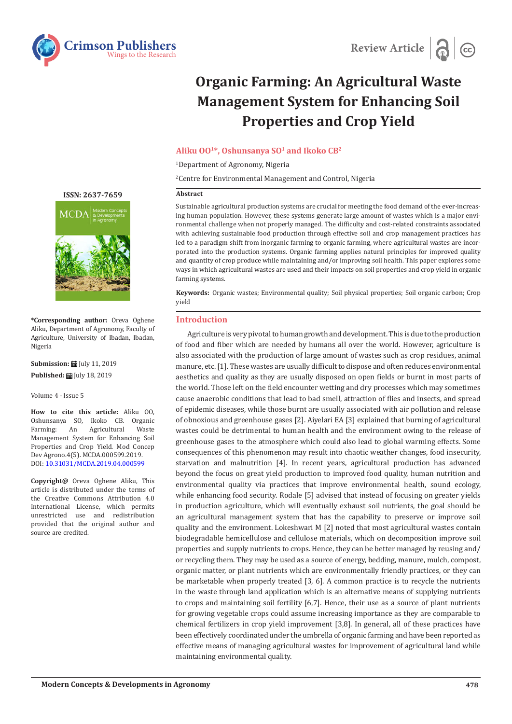



# **Organic Farming: An Agricultural Waste Management System for Enhancing Soil Properties and Crop Yield**

### **Aliku OO1\*, Oshunsanya SO1 and Ikoko CB2**

1 Department of Agronomy, Nigeria

2 Centre for Environmental Management and Control, Nigeria

#### **Abstract**

Sustainable agricultural production systems are crucial for meeting the food demand of the ever-increasing human population. However, these systems generate large amount of wastes which is a major environmental challenge when not properly managed. The difficulty and cost-related constraints associated with achieving sustainable food production through effective soil and crop management practices has led to a paradigm shift from inorganic farming to organic farming, where agricultural wastes are incorporated into the production systems. Organic farming applies natural principles for improved quality and quantity of crop produce while maintaining and/or improving soil health. This paper explores some ways in which agricultural wastes are used and their impacts on soil properties and crop yield in organic farming systems.

**Keywords:** Organic wastes; Environmental quality; Soil physical properties; Soil organic carbon; Crop yield

#### **Introduction**

Agriculture is very pivotal to human growth and development. This is due to the production of food and fiber which are needed by humans all over the world. However, agriculture is also associated with the production of large amount of wastes such as crop residues, animal manure, etc. [1]. These wastes are usually difficult to dispose and often reduces environmental aesthetics and quality as they are usually disposed on open fields or burnt in most parts of the world. Those left on the field encounter wetting and dry processes which may sometimes cause anaerobic conditions that lead to bad smell, attraction of flies and insects, and spread of epidemic diseases, while those burnt are usually associated with air pollution and release of obnoxious and greenhouse gases [2]. Aiyelari EA [3] explained that burning of agricultural wastes could be detrimental to human health and the environment owing to the release of greenhouse gases to the atmosphere which could also lead to global warming effects. Some consequences of this phenomenon may result into chaotic weather changes, food insecurity, starvation and malnutrition [4]. In recent years, agricultural production has advanced beyond the focus on great yield production to improved food quality, human nutrition and environmental quality via practices that improve environmental health, sound ecology, while enhancing food security. Rodale [5] advised that instead of focusing on greater yields in production agriculture, which will eventually exhaust soil nutrients, the goal should be an agricultural management system that has the capability to preserve or improve soil quality and the environment. Lokeshwari M [2] noted that most agricultural wastes contain biodegradable hemicellulose and cellulose materials, which on decomposition improve soil properties and supply nutrients to crops. Hence, they can be better managed by reusing and/ or recycling them. They may be used as a source of energy, bedding, manure, mulch, compost, organic matter, or plant nutrients which are environmentally friendly practices, or they can be marketable when properly treated [3, 6]. A common practice is to recycle the nutrients in the waste through land application which is an alternative means of supplying nutrients to crops and maintaining soil fertility [6,7]. Hence, their use as a source of plant nutrients for growing vegetable crops could assume increasing importance as they are comparable to chemical fertilizers in crop yield improvement [3,8]. In general, all of these practices have been effectively coordinated under the umbrella of organic farming and have been reported as effective means of managing agricultural wastes for improvement of agricultural land while maintaining environmental quality.

## **ISSN: 2637-7659**



**\*Corresponding author:** Oreva Oghene Aliku, Department of Agronomy, Faculty of Agriculture, University of Ibadan, Ibadan, Nigeria

**Submission: 自 July 11, 2019 Published:** July 18, 2019

Volume 4 - Issue 5

**How to cite this article:** Aliku OO, Oshunsanya SO, Ikoko CB. Organic Agricultural Management System for Enhancing Soil Properties and Crop Yield. Mod Concep Dev Agrono.4(5). MCDA.000599.2019. DOI: 10.31031/MCDA.2019.04.000599

**Copyright@** Oreva Oghene Aliku, This article is distributed under the terms of the Creative Commons Attribution 4.0 International License, which permits unrestricted use and redistribution provided that the original author and source are credited.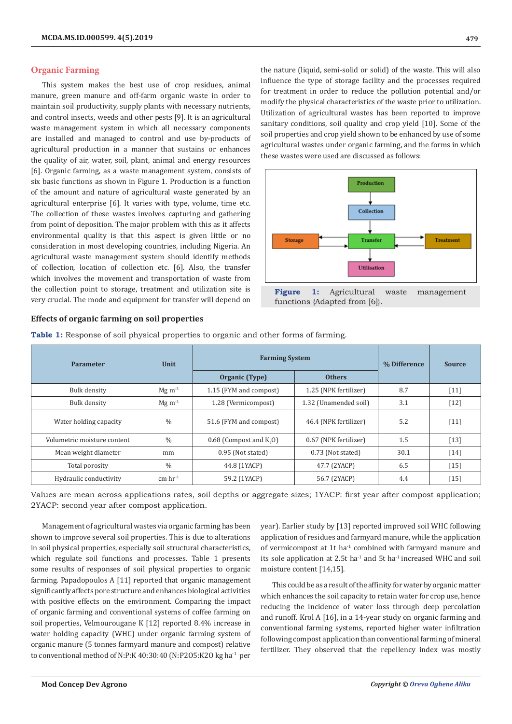#### **Organic Farming**

This system makes the best use of crop residues, animal manure, green manure and off-farm organic waste in order to maintain soil productivity, supply plants with necessary nutrients, and control insects, weeds and other pests [9]. It is an agricultural waste management system in which all necessary components are installed and managed to control and use by-products of agricultural production in a manner that sustains or enhances the quality of air, water, soil, plant, animal and energy resources [6]. Organic farming, as a waste management system, consists of six basic functions as shown in Figure 1. Production is a function of the amount and nature of agricultural waste generated by an agricultural enterprise [6]. It varies with type, volume, time etc. The collection of these wastes involves capturing and gathering from point of deposition. The major problem with this as it affects environmental quality is that this aspect is given little or no consideration in most developing countries, including Nigeria. An agricultural waste management system should identify methods of collection, location of collection etc. [6]. Also, the transfer which involves the movement and transportation of waste from the collection point to storage, treatment and utilization site is very crucial. The mode and equipment for transfer will depend on

the nature (liquid, semi-solid or solid) of the waste. This will also influence the type of storage facility and the processes required for treatment in order to reduce the pollution potential and/or modify the physical characteristics of the waste prior to utilization. Utilization of agricultural wastes has been reported to improve sanitary conditions, soil quality and crop yield [10]. Some of the soil properties and crop yield shown to be enhanced by use of some agricultural wastes under organic farming, and the forms in which these wastes were used are discussed as follows:



## **Effects of organic farming on soil properties**

| <b>Parameter</b>            | Unit                  | <b>Farming System</b>                 | % Difference          | <b>Source</b> |        |
|-----------------------------|-----------------------|---------------------------------------|-----------------------|---------------|--------|
|                             |                       | Organic (Type)                        | <b>Others</b>         |               |        |
| Bulk density                | $Mg \, \text{m}^{-3}$ | 1.15 (FYM and compost)                | 1.25 (NPK fertilizer) | 8.7           | $[11]$ |
| Bulk density                | $Mg \, \text{m}^{-3}$ | 1.28 (Vermicompost)                   | 1.32 (Unamended soil) | 3.1           | $[12]$ |
| Water holding capacity      | $\%$                  | 51.6 (FYM and compost)                | 46.4 (NPK fertilizer) | 5.2           | $[11]$ |
| Volumetric moisture content | $\frac{0}{0}$         | $0.68$ (Compost and K <sub>2</sub> O) | 0.67 (NPK fertilizer) | 1.5           | $[13]$ |
| Mean weight diameter        | mm                    | 0.95 (Not stated)                     | 0.73 (Not stated)     | 30.1          | [14]   |
| Total porosity              | $\%$                  | 44.8 (1YACP)                          | 47.7 (2YACP)          | 6.5           | $[15]$ |
| Hydraulic conductivity      | $cm \, hr^{-1}$       | 59.2 (1YACP)                          | 56.7 (2YACP)          | 4.4           | $[15]$ |

**Table 1:** Response of soil physical properties to organic and other forms of farming.

Values are mean across applications rates, soil depths or aggregate sizes; 1YACP: first year after compost application; 2YACP: second year after compost application.

Management of agricultural wastes via organic farming has been shown to improve several soil properties. This is due to alterations in soil physical properties, especially soil structural characteristics, which regulate soil functions and processes. Table 1 presents some results of responses of soil physical properties to organic farming. Papadopoulos A [11] reported that organic management significantly affects pore structure and enhances biological activities with positive effects on the environment. Comparing the impact of organic farming and conventional systems of coffee farming on soil properties, Velmourougane K [12] reported 8.4% increase in water holding capacity (WHC) under organic farming system of organic manure (5 tonnes farmyard manure and compost) relative to conventional method of N:P:K 40:30:40 (N:P2O5:K2O kg ha<sup>-1</sup> per

year). Earlier study by [13] reported improved soil WHC following application of residues and farmyard manure, while the application of vermicompost at 1t ha-1 combined with farmyard manure and its sole application at 2.5t ha $^1$  and 5t ha $^1$  increased WHC and soil moisture content [14,15].

This could be as a result of the affinity for water by organic matter which enhances the soil capacity to retain water for crop use, hence reducing the incidence of water loss through deep percolation and runoff. Krol A [16], in a 14-year study on organic farming and conventional farming systems, reported higher water infiltration following compost application than conventional farming of mineral fertilizer. They observed that the repellency index was mostly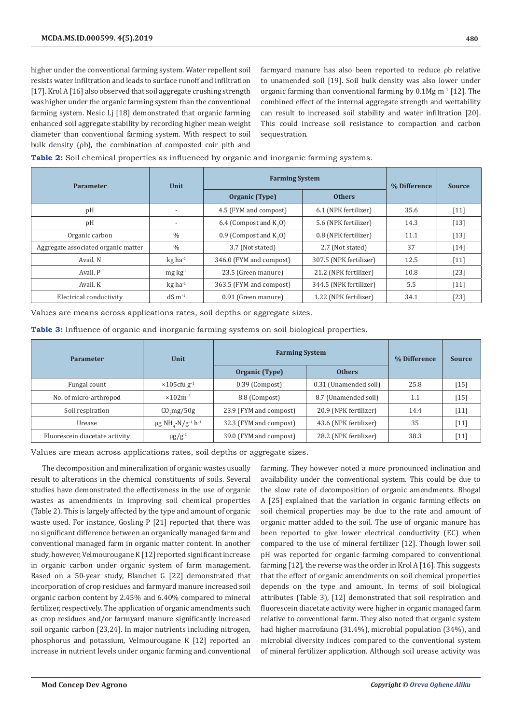higher under the conventional farming system. Water repellent soil resists water infiltration and leads to surface runoff and infiltration [17]. Krol A [16] also observed that soil aggregate crushing strength was higher under the organic farming system than the conventional farming system. Nesic Lj [18] demonstrated that organic farming enhanced soil aggregate stability by recording higher mean weight diameter than conventional farming system. With respect to soil bulk density (ρb), the combination of composted coir pith and

farmyard manure has also been reported to reduce ρb relative to unamended soil [19]. Soil bulk density was also lower under organic farming than conventional farming by  $0.1$ Mg m<sup>-1</sup> [12]. The combined effect of the internal aggregate strength and wettability can result to increased soil stability and water infiltration [20]. This could increase soil resistance to compaction and carbon sequestration.

**Table 2:** Soil chemical properties as influenced by organic and inorganic farming systems.

| <b>Parameter</b>                    | Unit                  | <b>Farming System</b>                | % Difference           | <b>Source</b> |                    |
|-------------------------------------|-----------------------|--------------------------------------|------------------------|---------------|--------------------|
|                                     |                       | Organic (Type)                       | <b>Others</b>          |               |                    |
| pH                                  |                       | 4.5 (FYM and compost)                | 6.1 (NPK fertilizer)   | 35.6          | $[11]$             |
| pH                                  |                       | 6.4 (Compost and $K_{\alpha}$ O)     | 5.6 (NPK fertilizer)   | 14.3          | $[13]$             |
| Organic carbon                      | $\%$                  | $0.9$ (Compost and K <sub>0</sub> O) | 0.8 (NPK fertilizer)   | 11.1          | $[13]$             |
| Aggregate associated organic matter | $\frac{0}{0}$         | 3.7 (Not stated)                     | 2.7 (Not stated)       | 37            | $\lceil 14 \rceil$ |
| Avail, N                            | $kg$ ha <sup>-1</sup> | 346.0 (FYM and compost)              | 307.5 (NPK fertilizer) | 12.5          | $[11]$             |
| Avail. P                            | $mg \, kg^{-1}$       | 23.5 (Green manure)                  | 21.2 (NPK fertilizer)  | 10.8          | $[23]$             |
| Avail, K                            | $kg$ ha <sup>-1</sup> | 363.5 (FYM and compost)              | 344.5 (NPK fertilizer) | 5.5           | $[11]$             |
| Electrical conductivity             | $dS \, m^{-1}$        | 0.91 (Green manure)                  | 1.22 (NPK fertilizer)  | 34.1          | $[23]$             |

Values are means across applications rates, soil depths or aggregate sizes.

**Table 3:** Influence of organic and inorganic farming systems on soil biological properties.

| <b>Parameter</b>               | <b>Unit</b>                                                | <b>Farming System</b>  | % Difference          | <b>Source</b> |        |
|--------------------------------|------------------------------------------------------------|------------------------|-----------------------|---------------|--------|
|                                |                                                            | Organic (Type)         | <b>Others</b>         |               |        |
| Fungal count                   | $\times 105$ cfu g <sup>-1</sup>                           | 0.39 (Compost)         | 0.31 (Unamended soil) | 25.8          | $[15]$ |
| No. of micro-arthropod         | $×102m-2$                                                  | 8.8 (Compost)          | 8.7 (Unamended soil)  | 1.1           | $[15]$ |
| Soil respiration               | CO <sub>2</sub> mg/50g                                     | 23.9 (FYM and compost) | 20.9 (NPK fertilizer) | 14.4          | $[11]$ |
| Urease                         | $\mu$ g NH <sub>4</sub> -N/g <sup>-1</sup> h <sup>-1</sup> | 32.3 (FYM and compost) | 43.6 (NPK fertilizer) | 35            | $[11]$ |
| Fluorescein diacetate activity | $\mu$ g/g <sup>-1</sup>                                    | 39.0 (FYM and compost) | 28.2 (NPK fertilizer) | 38.3          | $[11]$ |

Values are mean across applications rates, soil depths or aggregate sizes.

The decomposition and mineralization of organic wastes usually result to alterations in the chemical constituents of soils. Several studies have demonstrated the effectiveness in the use of organic wastes as amendments in improving soil chemical properties (Table 2). This is largely affected by the type and amount of organic waste used. For instance, Gosling P [21] reported that there was no significant difference between an organically managed farm and conventional managed farm in organic matter content. In another study, however, Velmourougane K [12] reported significant increase in organic carbon under organic system of farm management. Based on a 50-year study, Blanchet G [22] demonstrated that incorporation of crop residues and farmyard manure increased soil organic carbon content by 2.45% and 6.40% compared to mineral fertilizer, respectively. The application of organic amendments such as crop residues and/or farmyard manure significantly increased soil organic carbon [23,24]. In major nutrients including nitrogen, phosphorus and potassium, Velmourougane K [12] reported an increase in nutrient levels under organic farming and conventional

farming. They however noted a more pronounced inclination and availability under the conventional system. This could be due to the slow rate of decomposition of organic amendments. Bhogal A [25] explained that the variation in organic farming effects on soil chemical properties may be due to the rate and amount of organic matter added to the soil. The use of organic manure has been reported to give lower electrical conductivity (EC) when compared to the use of mineral fertilizer [12]. Though lower soil pH was reported for organic farming compared to conventional farming [12], the reverse was the order in Krol A [16]. This suggests that the effect of organic amendments on soil chemical properties depends on the type and amount. In terms of soil biological attributes (Table 3), [12] demonstrated that soil respiration and fluorescein diacetate activity were higher in organic managed farm relative to conventional farm. They also noted that organic system had higher macrofauna (31.4%), microbial population (34%), and microbial diversity indices compared to the conventional system of mineral fertilizer application. Although soil urease activity was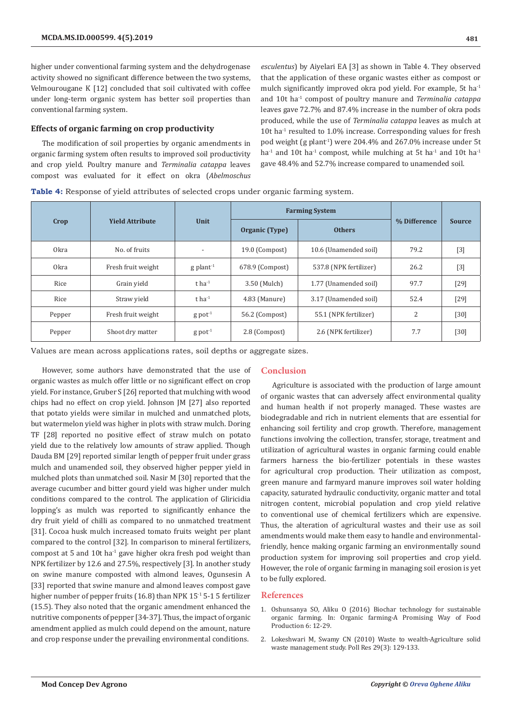higher under conventional farming system and the dehydrogenase activity showed no significant difference between the two systems, Velmourougane K [12] concluded that soil cultivated with coffee under long-term organic system has better soil properties than conventional farming system.

#### **Effects of organic farming on crop productivity**

The modification of soil properties by organic amendments in organic farming system often results to improved soil productivity and crop yield. Poultry manure and *Terminalia catappa* leaves compost was evaluated for it effect on okra (*Abelmoschus*  *esculentus*) by Aiyelari EA [3] as shown in Table 4. They observed that the application of these organic wastes either as compost or mulch significantly improved okra pod yield. For example, 5t ha-1 and 10t ha-1 compost of poultry manure and *Terminalia catappa* leaves gave 72.7% and 87.4% increase in the number of okra pods produced, while the use of *Terminalia catappa* leaves as mulch at 10t ha $1$  resulted to 1.0% increase. Corresponding values for fresh pod weight (g plant-1) were 204.4% and 267.0% increase under 5t ha<sup>-1</sup> and 10t ha<sup>-1</sup> compost, while mulching at 5t ha<sup>-1</sup> and 10t ha<sup>-1</sup> gave 48.4% and 52.7% increase compared to unamended soil.

**Table 4:** Response of yield attributes of selected crops under organic farming system.

|                  |                        | Unit                     | <b>Farming System</b> |                        |              |               |
|------------------|------------------------|--------------------------|-----------------------|------------------------|--------------|---------------|
| Crop             | <b>Yield Attribute</b> |                          | Organic (Type)        | <b>Others</b>          | % Difference | <b>Source</b> |
| 0 <sub>kra</sub> | No. of fruits          | $\overline{\phantom{a}}$ | 19.0 (Compost)        | 10.6 (Unamended soil)  | 79.2         | $[3]$         |
| 0 <sub>kra</sub> | Fresh fruit weight     | $g$ plant <sup>-1</sup>  | 678.9 (Compost)       | 537.8 (NPK fertilizer) | 26.2         | $[3]$         |
| Rice             | Grain vield            | $t$ ha <sup>-1</sup>     | 3.50 (Mulch)          | 1.77 (Unamended soil)  | 97.7         | [29]          |
| Rice             | Straw yield            | $t$ ha <sup>-1</sup>     | 4.83 (Manure)         | 3.17 (Unamended soil)  | 52.4         | $[29]$        |
| Pepper           | Fresh fruit weight     | $g$ pot <sup>-1</sup>    | 56.2 (Compost)        | 55.1 (NPK fertilizer)  | 2            | $[30]$        |
| Pepper           | Shoot dry matter       | $g$ pot <sup>-1</sup>    | 2.8 (Compost)         | 2.6 (NPK fertilizer)   | 7.7          | $[30]$        |

Values are mean across applications rates, soil depths or aggregate sizes.

However, some authors have demonstrated that the use of organic wastes as mulch offer little or no significant effect on crop yield. For instance, Gruber S [26] reported that mulching with wood chips had no effect on crop yield. Johnson JM [27] also reported that potato yields were similar in mulched and unmatched plots, but watermelon yield was higher in plots with straw mulch. Doring TF [28] reported no positive effect of straw mulch on potato yield due to the relatively low amounts of straw applied. Though Dauda BM [29] reported similar length of pepper fruit under grass mulch and unamended soil, they observed higher pepper yield in mulched plots than unmatched soil. Nasir M [30] reported that the average cucumber and bitter gourd yield was higher under mulch conditions compared to the control. The application of Gliricidia lopping's as mulch was reported to significantly enhance the dry fruit yield of chilli as compared to no unmatched treatment [31]. Cocoa husk mulch increased tomato fruits weight per plant compared to the control [32]. In comparison to mineral fertilizers, compost at 5 and 10t ha-1 gave higher okra fresh pod weight than NPK fertilizer by 12.6 and 27.5%, respectively [3]. In another study on swine manure composted with almond leaves, Ogunsesin A [33] reported that swine manure and almond leaves compost gave higher number of pepper fruits (16.8) than NPK 15<sup>-1</sup> 5-1 5 fertilizer (15.5). They also noted that the organic amendment enhanced the nutritive components of pepper [34-37]. Thus, the impact of organic amendment applied as mulch could depend on the amount, nature and crop response under the prevailing environmental conditions.

#### **Conclusion**

Agriculture is associated with the production of large amount of organic wastes that can adversely affect environmental quality and human health if not properly managed. These wastes are biodegradable and rich in nutrient elements that are essential for enhancing soil fertility and crop growth. Therefore, management functions involving the collection, transfer, storage, treatment and utilization of agricultural wastes in organic farming could enable farmers harness the bio-fertilizer potentials in these wastes for agricultural crop production. Their utilization as compost, green manure and farmyard manure improves soil water holding capacity, saturated hydraulic conductivity, organic matter and total nitrogen content, microbial population and crop yield relative to conventional use of chemical fertilizers which are expensive. Thus, the alteration of agricultural wastes and their use as soil amendments would make them easy to handle and environmentalfriendly, hence making organic farming an environmentally sound production system for improving soil properties and crop yield. However, the role of organic farming in managing soil erosion is yet to be fully explored.

#### **References**

- 1. Oshunsanya SO, Aliku O (2016) Biochar technology for sustainable organic farming. In: Organic farming-A Promising Way of Food Production 6: 12-29.
- 2. Lokeshwari M, Swamy CN (2010) Waste to wealth-Agriculture solid waste management study. Poll Res 29(3): 129-133.